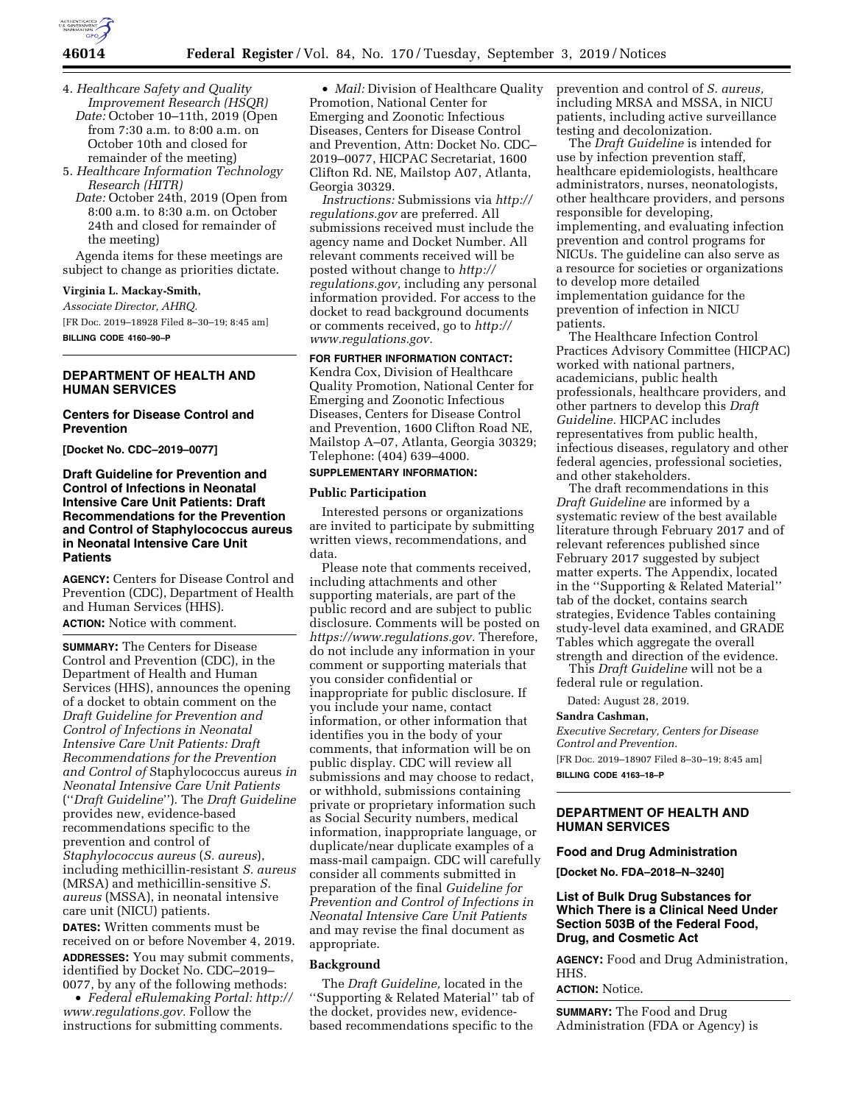

- 4. *Healthcare Safety and Quality*
- *Improvement Research (HSQR) Date:* October 10–11th, 2019 (Open from 7:30 a.m. to 8:00 a.m. on October 10th and closed for remainder of the meeting)
- 5. *Healthcare Information Technology Research (HITR) Date:* October 24th, 2019 (Open from
	- 8:00 a.m. to 8:30 a.m. on October 24th and closed for remainder of the meeting)

Agenda items for these meetings are subject to change as priorities dictate.

## **Virginia L. Mackay-Smith,**

*Associate Director, AHRQ.*  [FR Doc. 2019–18928 Filed 8–30–19; 8:45 am] **BILLING CODE 4160–90–P** 

## **DEPARTMENT OF HEALTH AND HUMAN SERVICES**

#### **Centers for Disease Control and Prevention**

**[Docket No. CDC–2019–0077]** 

## **Draft Guideline for Prevention and Control of Infections in Neonatal Intensive Care Unit Patients: Draft Recommendations for the Prevention and Control of Staphylococcus aureus in Neonatal Intensive Care Unit Patients**

**AGENCY:** Centers for Disease Control and Prevention (CDC), Department of Health and Human Services (HHS). **ACTION:** Notice with comment.

**SUMMARY:** The Centers for Disease Control and Prevention (CDC), in the Department of Health and Human Services (HHS), announces the opening of a docket to obtain comment on the *Draft Guideline for Prevention and Control of Infections in Neonatal Intensive Care Unit Patients: Draft Recommendations for the Prevention and Control of* Staphylococcus aureus *in Neonatal Intensive Care Unit Patients*  (''*Draft Guideline*''). The *Draft Guideline*  provides new, evidence-based recommendations specific to the prevention and control of *Staphylococcus aureus* (*S. aureus*), including methicillin-resistant *S. aureus*  (MRSA) and methicillin-sensitive *S. aureus* (MSSA), in neonatal intensive care unit (NICU) patients. **DATES:** Written comments must be received on or before November 4, 2019.

**ADDRESSES:** You may submit comments, identified by Docket No. CDC–2019– 0077, by any of the following methods:

• *Federal eRulemaking Portal: [http://](http://www.regulations.gov)  [www.regulations.gov.](http://www.regulations.gov)* Follow the instructions for submitting comments.

• *Mail:* Division of Healthcare Quality Promotion, National Center for Emerging and Zoonotic Infectious Diseases, Centers for Disease Control and Prevention, Attn: Docket No. CDC– 2019–0077, HICPAC Secretariat, 1600 Clifton Rd. NE, Mailstop A07, Atlanta, Georgia 30329.

*Instructions:* Submissions via *[http://](http://regulations.gov) [regulations.gov](http://regulations.gov)* are preferred. All submissions received must include the agency name and Docket Number. All relevant comments received will be posted without change to *[http://](http://regulations.gov) [regulations.gov,](http://regulations.gov)* including any personal information provided. For access to the docket to read background documents or comments received, go to *[http://](http://www.regulations.gov) [www.regulations.gov.](http://www.regulations.gov)* 

**FOR FURTHER INFORMATION CONTACT:**  Kendra Cox, Division of Healthcare Quality Promotion, National Center for Emerging and Zoonotic Infectious Diseases, Centers for Disease Control and Prevention, 1600 Clifton Road NE, Mailstop A–07, Atlanta, Georgia 30329; Telephone: (404) 639–4000.

## **SUPPLEMENTARY INFORMATION:**

#### **Public Participation**

Interested persons or organizations are invited to participate by submitting written views, recommendations, and data.

Please note that comments received, including attachments and other supporting materials, are part of the public record and are subject to public disclosure. Comments will be posted on *[https://www.regulations.gov.](https://www.regulations.gov)* Therefore, do not include any information in your comment or supporting materials that you consider confidential or inappropriate for public disclosure. If you include your name, contact information, or other information that identifies you in the body of your comments, that information will be on public display. CDC will review all submissions and may choose to redact, or withhold, submissions containing private or proprietary information such as Social Security numbers, medical information, inappropriate language, or duplicate/near duplicate examples of a mass-mail campaign. CDC will carefully consider all comments submitted in preparation of the final *Guideline for Prevention and Control of Infections in Neonatal Intensive Care Unit Patients*  and may revise the final document as appropriate.

#### **Background**

The *Draft Guideline,* located in the ''Supporting & Related Material'' tab of the docket, provides new, evidencebased recommendations specific to the prevention and control of *S. aureus,*  including MRSA and MSSA, in NICU patients, including active surveillance testing and decolonization.

The *Draft Guideline* is intended for use by infection prevention staff, healthcare epidemiologists, healthcare administrators, nurses, neonatologists, other healthcare providers, and persons responsible for developing, implementing, and evaluating infection prevention and control programs for NICUs. The guideline can also serve as a resource for societies or organizations to develop more detailed implementation guidance for the prevention of infection in NICU patients.

The Healthcare Infection Control Practices Advisory Committee (HICPAC) worked with national partners, academicians, public health professionals, healthcare providers, and other partners to develop this *Draft Guideline.* HICPAC includes representatives from public health, infectious diseases, regulatory and other federal agencies, professional societies, and other stakeholders.

The draft recommendations in this *Draft Guideline* are informed by a systematic review of the best available literature through February 2017 and of relevant references published since February 2017 suggested by subject matter experts. The Appendix, located in the ''Supporting & Related Material'' tab of the docket, contains search strategies, Evidence Tables containing study-level data examined, and GRADE Tables which aggregate the overall strength and direction of the evidence.

This *Draft Guideline* will not be a federal rule or regulation.

Dated: August 28, 2019.

#### **Sandra Cashman,**

*Executive Secretary, Centers for Disease Control and Prevention.* 

[FR Doc. 2019–18907 Filed 8–30–19; 8:45 am] **BILLING CODE 4163–18–P** 

## **DEPARTMENT OF HEALTH AND HUMAN SERVICES**

#### **Food and Drug Administration**

**[Docket No. FDA–2018–N–3240]** 

#### **List of Bulk Drug Substances for Which There is a Clinical Need Under Section 503B of the Federal Food, Drug, and Cosmetic Act**

**AGENCY:** Food and Drug Administration, HHS.

#### **ACTION:** Notice.

**SUMMARY:** The Food and Drug Administration (FDA or Agency) is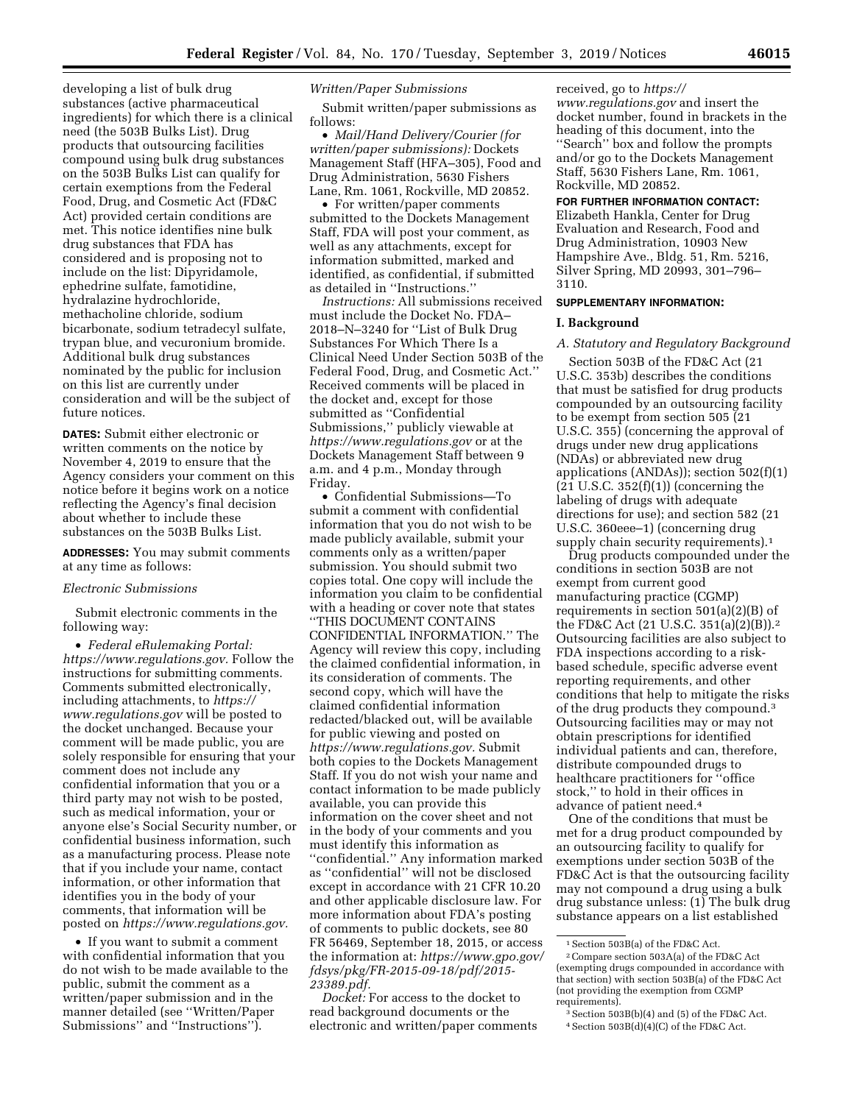developing a list of bulk drug substances (active pharmaceutical ingredients) for which there is a clinical need (the 503B Bulks List). Drug products that outsourcing facilities compound using bulk drug substances on the 503B Bulks List can qualify for certain exemptions from the Federal Food, Drug, and Cosmetic Act (FD&C Act) provided certain conditions are met. This notice identifies nine bulk drug substances that FDA has considered and is proposing not to include on the list: Dipyridamole, ephedrine sulfate, famotidine, hydralazine hydrochloride, methacholine chloride, sodium bicarbonate, sodium tetradecyl sulfate, trypan blue, and vecuronium bromide. Additional bulk drug substances nominated by the public for inclusion on this list are currently under consideration and will be the subject of future notices.

**DATES:** Submit either electronic or written comments on the notice by November 4, 2019 to ensure that the Agency considers your comment on this notice before it begins work on a notice reflecting the Agency's final decision about whether to include these substances on the 503B Bulks List.

#### **ADDRESSES:** You may submit comments at any time as follows:

#### *Electronic Submissions*

Submit electronic comments in the following way:

• *Federal eRulemaking Portal: [https://www.regulations.gov.](https://www.regulations.gov)* Follow the instructions for submitting comments. Comments submitted electronically, including attachments, to *[https://](https://www.regulations.gov) [www.regulations.gov](https://www.regulations.gov)* will be posted to the docket unchanged. Because your comment will be made public, you are solely responsible for ensuring that your comment does not include any confidential information that you or a third party may not wish to be posted, such as medical information, your or anyone else's Social Security number, or confidential business information, such as a manufacturing process. Please note that if you include your name, contact information, or other information that identifies you in the body of your comments, that information will be posted on *[https://www.regulations.gov.](https://www.regulations.gov)* 

• If you want to submit a comment with confidential information that you do not wish to be made available to the public, submit the comment as a written/paper submission and in the manner detailed (see ''Written/Paper Submissions'' and ''Instructions'').

#### *Written/Paper Submissions*

Submit written/paper submissions as follows:

• *Mail/Hand Delivery/Courier (for written/paper submissions):* Dockets Management Staff (HFA–305), Food and Drug Administration, 5630 Fishers Lane, Rm. 1061, Rockville, MD 20852.

• For written/paper comments submitted to the Dockets Management Staff, FDA will post your comment, as well as any attachments, except for information submitted, marked and identified, as confidential, if submitted as detailed in ''Instructions.''

*Instructions:* All submissions received must include the Docket No. FDA– 2018–N–3240 for ''List of Bulk Drug Substances For Which There Is a Clinical Need Under Section 503B of the Federal Food, Drug, and Cosmetic Act.'' Received comments will be placed in the docket and, except for those submitted as ''Confidential Submissions,'' publicly viewable at *<https://www.regulations.gov>* or at the Dockets Management Staff between 9 a.m. and 4 p.m., Monday through Friday.

• Confidential Submissions—To submit a comment with confidential information that you do not wish to be made publicly available, submit your comments only as a written/paper submission. You should submit two copies total. One copy will include the information you claim to be confidential with a heading or cover note that states ''THIS DOCUMENT CONTAINS CONFIDENTIAL INFORMATION.'' The Agency will review this copy, including the claimed confidential information, in its consideration of comments. The second copy, which will have the claimed confidential information redacted/blacked out, will be available for public viewing and posted on *[https://www.regulations.gov.](https://www.regulations.gov)* Submit both copies to the Dockets Management Staff. If you do not wish your name and contact information to be made publicly available, you can provide this information on the cover sheet and not in the body of your comments and you must identify this information as ''confidential.'' Any information marked as ''confidential'' will not be disclosed except in accordance with 21 CFR 10.20 and other applicable disclosure law. For more information about FDA's posting of comments to public dockets, see 80 FR 56469, September 18, 2015, or access the information at: *[https://www.gpo.gov/](https://www.gpo.gov/fdsys/pkg/FR-2015-09-18/pdf/2015-23389.pdf) [fdsys/pkg/FR-2015-09-18/pdf/2015-](https://www.gpo.gov/fdsys/pkg/FR-2015-09-18/pdf/2015-23389.pdf)  [23389.pdf.](https://www.gpo.gov/fdsys/pkg/FR-2015-09-18/pdf/2015-23389.pdf)* 

*Docket:* For access to the docket to read background documents or the electronic and written/paper comments received, go to *[https://](https://www.regulations.gov) [www.regulations.gov](https://www.regulations.gov)* and insert the docket number, found in brackets in the heading of this document, into the ''Search'' box and follow the prompts and/or go to the Dockets Management Staff, 5630 Fishers Lane, Rm. 1061, Rockville, MD 20852.

#### **FOR FURTHER INFORMATION CONTACT:**

Elizabeth Hankla, Center for Drug Evaluation and Research, Food and Drug Administration, 10903 New Hampshire Ave., Bldg. 51, Rm. 5216, Silver Spring, MD 20993, 301–796– 3110.

#### **SUPPLEMENTARY INFORMATION:**

## **I. Background**

#### *A. Statutory and Regulatory Background*

Section 503B of the FD&C Act (21 U.S.C. 353b) describes the conditions that must be satisfied for drug products compounded by an outsourcing facility to be exempt from section 505 (21 U.S.C. 355) (concerning the approval of drugs under new drug applications (NDAs) or abbreviated new drug applications (ANDAs)); section 502(f)(1)  $(21 \text{ U.S.C. } 352(f)(1))$  (concerning the labeling of drugs with adequate directions for use); and section 582 (21 U.S.C. 360eee–1) (concerning drug supply chain security requirements).<sup>1</sup>

Drug products compounded under the conditions in section 503B are not exempt from current good manufacturing practice (CGMP) requirements in section 501(a)(2)(B) of the FD&C Act (21 U.S.C. 351(a)(2)(B)).2 Outsourcing facilities are also subject to FDA inspections according to a riskbased schedule, specific adverse event reporting requirements, and other conditions that help to mitigate the risks of the drug products they compound.3 Outsourcing facilities may or may not obtain prescriptions for identified individual patients and can, therefore, distribute compounded drugs to healthcare practitioners for ''office stock,'' to hold in their offices in advance of patient need.4

One of the conditions that must be met for a drug product compounded by an outsourcing facility to qualify for exemptions under section 503B of the FD&C Act is that the outsourcing facility may not compound a drug using a bulk drug substance unless: (1) The bulk drug substance appears on a list established

<sup>1</sup>Section 503B(a) of the FD&C Act.

<sup>2</sup>Compare section 503A(a) of the FD&C Act (exempting drugs compounded in accordance with that section) with section 503B(a) of the FD&C Act (not providing the exemption from CGMP requirements).

<sup>3</sup>Section 503B(b)(4) and (5) of the FD&C Act. 4Section 503B(d)(4)(C) of the FD&C Act.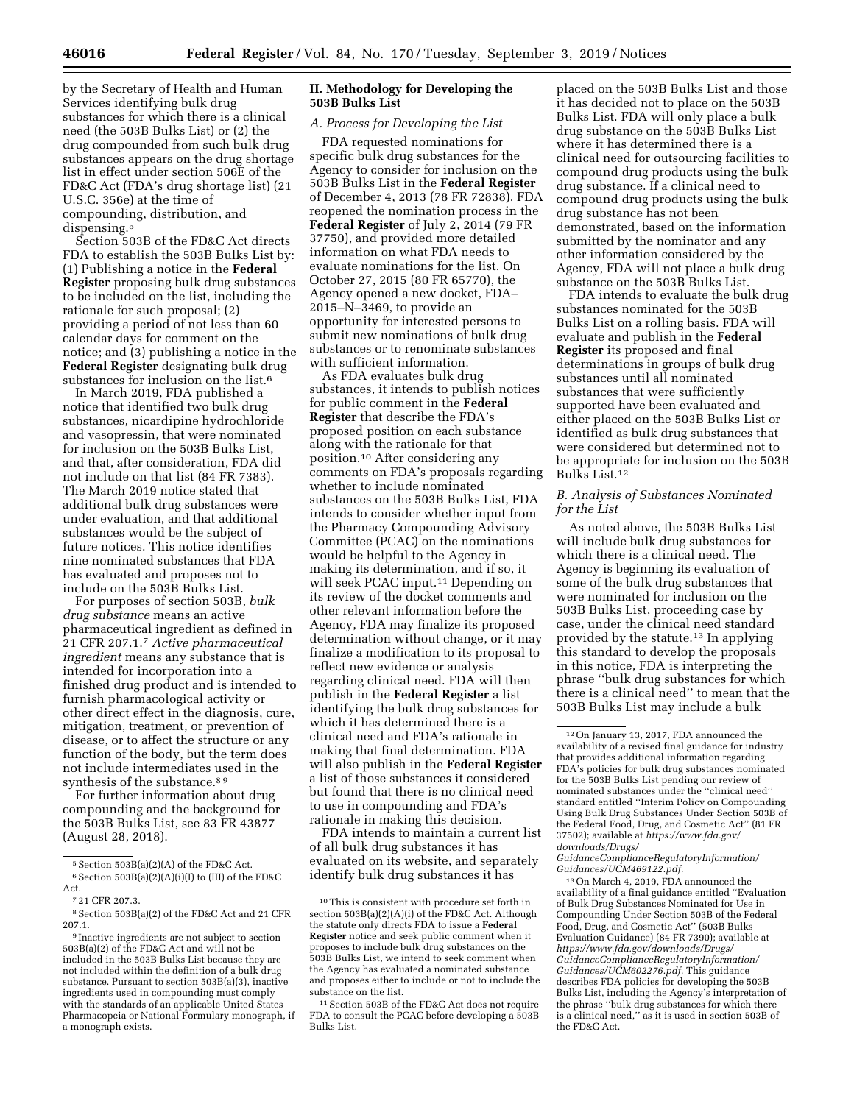by the Secretary of Health and Human Services identifying bulk drug substances for which there is a clinical need (the 503B Bulks List) or (2) the drug compounded from such bulk drug substances appears on the drug shortage list in effect under section 506E of the FD&C Act (FDA's drug shortage list) (21 U.S.C. 356e) at the time of compounding, distribution, and dispensing.<sup>5</sup>

Section 503B of the FD&C Act directs FDA to establish the 503B Bulks List by: (1) Publishing a notice in the **Federal Register** proposing bulk drug substances to be included on the list, including the rationale for such proposal; (2) providing a period of not less than 60 calendar days for comment on the notice; and (3) publishing a notice in the **Federal Register** designating bulk drug substances for inclusion on the list.6

In March 2019, FDA published a notice that identified two bulk drug substances, nicardipine hydrochloride and vasopressin, that were nominated for inclusion on the 503B Bulks List, and that, after consideration, FDA did not include on that list (84 FR 7383). The March 2019 notice stated that additional bulk drug substances were under evaluation, and that additional substances would be the subject of future notices. This notice identifies nine nominated substances that FDA has evaluated and proposes not to include on the 503B Bulks List.

For purposes of section 503B, *bulk drug substance* means an active pharmaceutical ingredient as defined in 21 CFR 207.1.7 *Active pharmaceutical ingredient* means any substance that is intended for incorporation into a finished drug product and is intended to furnish pharmacological activity or other direct effect in the diagnosis, cure, mitigation, treatment, or prevention of disease, or to affect the structure or any function of the body, but the term does not include intermediates used in the synthesis of the substance.<sup>89</sup>

For further information about drug compounding and the background for the 503B Bulks List, see 83 FR 43877 (August 28, 2018).

## **II. Methodology for Developing the 503B Bulks List**

# *A. Process for Developing the List*

FDA requested nominations for specific bulk drug substances for the Agency to consider for inclusion on the 503B Bulks List in the **Federal Register**  of December 4, 2013 (78 FR 72838). FDA reopened the nomination process in the **Federal Register** of July 2, 2014 (79 FR 37750), and provided more detailed information on what FDA needs to evaluate nominations for the list. On October 27, 2015 (80 FR 65770), the Agency opened a new docket, FDA– 2015–N–3469, to provide an opportunity for interested persons to submit new nominations of bulk drug substances or to renominate substances with sufficient information.

As FDA evaluates bulk drug substances, it intends to publish notices for public comment in the **Federal Register** that describe the FDA's proposed position on each substance along with the rationale for that position.10 After considering any comments on FDA's proposals regarding whether to include nominated substances on the 503B Bulks List, FDA intends to consider whether input from the Pharmacy Compounding Advisory Committee (PCAC) on the nominations would be helpful to the Agency in making its determination, and if so, it will seek PCAC input.11 Depending on its review of the docket comments and other relevant information before the Agency, FDA may finalize its proposed determination without change, or it may finalize a modification to its proposal to reflect new evidence or analysis regarding clinical need. FDA will then publish in the **Federal Register** a list identifying the bulk drug substances for which it has determined there is a clinical need and FDA's rationale in making that final determination. FDA will also publish in the **Federal Register**  a list of those substances it considered but found that there is no clinical need to use in compounding and FDA's rationale in making this decision.

FDA intends to maintain a current list of all bulk drug substances it has evaluated on its website, and separately identify bulk drug substances it has

placed on the 503B Bulks List and those it has decided not to place on the 503B Bulks List. FDA will only place a bulk drug substance on the 503B Bulks List where it has determined there is a clinical need for outsourcing facilities to compound drug products using the bulk drug substance. If a clinical need to compound drug products using the bulk drug substance has not been demonstrated, based on the information submitted by the nominator and any other information considered by the Agency, FDA will not place a bulk drug substance on the 503B Bulks List.

FDA intends to evaluate the bulk drug substances nominated for the 503B Bulks List on a rolling basis. FDA will evaluate and publish in the **Federal Register** its proposed and final determinations in groups of bulk drug substances until all nominated substances that were sufficiently supported have been evaluated and either placed on the 503B Bulks List or identified as bulk drug substances that were considered but determined not to be appropriate for inclusion on the 503B Bulks List.12

## *B. Analysis of Substances Nominated for the List*

As noted above, the 503B Bulks List will include bulk drug substances for which there is a clinical need. The Agency is beginning its evaluation of some of the bulk drug substances that were nominated for inclusion on the 503B Bulks List, proceeding case by case, under the clinical need standard provided by the statute.13 In applying this standard to develop the proposals in this notice, FDA is interpreting the phrase ''bulk drug substances for which there is a clinical need'' to mean that the 503B Bulks List may include a bulk

*[GuidanceComplianceRegulatoryInformation/](https://www.fda.gov/downloads/Drugs/GuidanceComplianceRegulatoryInformation/Guidances/UCM469122.pdf) [Guidances/UCM469122.pdf.](https://www.fda.gov/downloads/Drugs/GuidanceComplianceRegulatoryInformation/Guidances/UCM469122.pdf)* 

13On March 4, 2019, FDA announced the availability of a final guidance entitled ''Evaluation of Bulk Drug Substances Nominated for Use in Compounding Under Section 503B of the Federal Food, Drug, and Cosmetic Act'' (503B Bulks Evaluation Guidance) (84 FR 7390); available at *[https://www.fda.gov/downloads/Drugs/](https://www.fda.gov/downloads/Drugs/GuidanceComplianceRegulatoryInformation/Guidances/UCM602276.pdf) [GuidanceComplianceRegulatoryInformation/](https://www.fda.gov/downloads/Drugs/GuidanceComplianceRegulatoryInformation/Guidances/UCM602276.pdf) [Guidances/UCM602276.pdf.](https://www.fda.gov/downloads/Drugs/GuidanceComplianceRegulatoryInformation/Guidances/UCM602276.pdf)* This guidance describes FDA policies for developing the 503B Bulks List, including the Agency's interpretation of the phrase ''bulk drug substances for which there is a clinical need,'' as it is used in section 503B of the FD&C Act.

<sup>5</sup>Section 503B(a)(2)(A) of the FD&C Act.  $^6$  Section 503B(a)(2)(A)(i)(I) to (III) of the FD&C Act.

<sup>7</sup> 21 CFR 207.3.

<sup>8</sup>Section 503B(a)(2) of the FD&C Act and 21 CFR 207.1.

<sup>9</sup> Inactive ingredients are not subject to section 503B(a)(2) of the FD&C Act and will not be included in the 503B Bulks List because they are not included within the definition of a bulk drug substance. Pursuant to section 503B(a)(3), inactive ingredients used in compounding must comply with the standards of an applicable United States Pharmacopeia or National Formulary monograph, if a monograph exists.

 $^{\rm 10}\rm{This}$  is consistent with procedure set forth in section  $503B(a)(2)(A)(i)$  of the FD&C Act. Although the statute only directs FDA to issue a **Federal Register** notice and seek public comment when it proposes to include bulk drug substances on the 503B Bulks List, we intend to seek comment when the Agency has evaluated a nominated substance and proposes either to include or not to include the substance on the list.

<sup>11</sup>Section 503B of the FD&C Act does not require FDA to consult the PCAC before developing a 503B Bulks List.

<sup>12</sup>On January 13, 2017, FDA announced the availability of a revised final guidance for industry that provides additional information regarding FDA's policies for bulk drug substances nominated for the 503B Bulks List pending our review of nominated substances under the ''clinical need'' standard entitled ''Interim Policy on Compounding Using Bulk Drug Substances Under Section 503B of the Federal Food, Drug, and Cosmetic Act'' (81 FR 37502); available at *[https://www.fda.gov/](https://www.fda.gov/downloads/Drugs/GuidanceComplianceRegulatoryInformation/Guidances/UCM469122.pdf)  [downloads/Drugs/](https://www.fda.gov/downloads/Drugs/GuidanceComplianceRegulatoryInformation/Guidances/UCM469122.pdf)*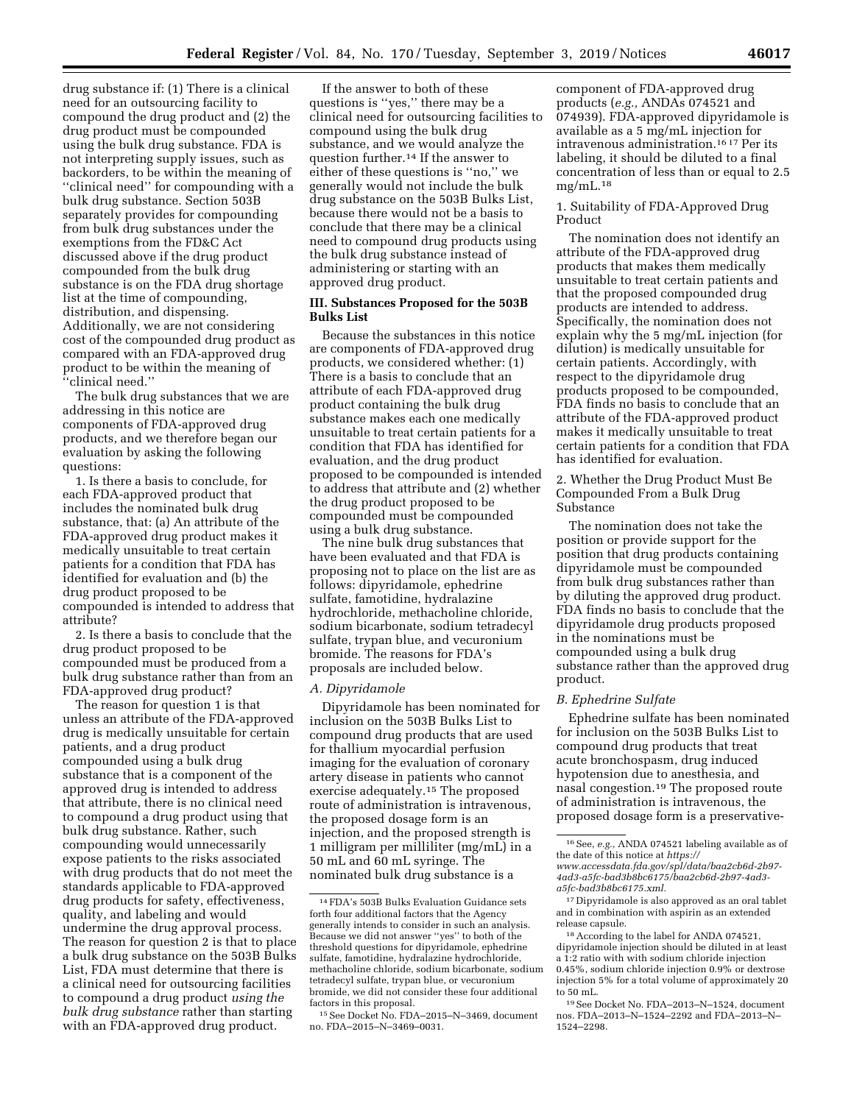drug substance if: (1) There is a clinical need for an outsourcing facility to compound the drug product and (2) the drug product must be compounded using the bulk drug substance. FDA is not interpreting supply issues, such as backorders, to be within the meaning of ''clinical need'' for compounding with a bulk drug substance. Section 503B separately provides for compounding from bulk drug substances under the exemptions from the FD&C Act discussed above if the drug product compounded from the bulk drug substance is on the FDA drug shortage list at the time of compounding, distribution, and dispensing. Additionally, we are not considering cost of the compounded drug product as compared with an FDA-approved drug product to be within the meaning of ''clinical need.''

The bulk drug substances that we are addressing in this notice are components of FDA-approved drug products, and we therefore began our evaluation by asking the following questions:

1. Is there a basis to conclude, for each FDA-approved product that includes the nominated bulk drug substance, that: (a) An attribute of the FDA-approved drug product makes it medically unsuitable to treat certain patients for a condition that FDA has identified for evaluation and (b) the drug product proposed to be compounded is intended to address that attribute?

2. Is there a basis to conclude that the drug product proposed to be compounded must be produced from a bulk drug substance rather than from an FDA-approved drug product?

The reason for question 1 is that unless an attribute of the FDA-approved drug is medically unsuitable for certain patients, and a drug product compounded using a bulk drug substance that is a component of the approved drug is intended to address that attribute, there is no clinical need to compound a drug product using that bulk drug substance. Rather, such compounding would unnecessarily expose patients to the risks associated with drug products that do not meet the standards applicable to FDA-approved drug products for safety, effectiveness, quality, and labeling and would undermine the drug approval process. The reason for question 2 is that to place a bulk drug substance on the 503B Bulks List, FDA must determine that there is a clinical need for outsourcing facilities to compound a drug product *using the bulk drug substance* rather than starting with an FDA-approved drug product.

If the answer to both of these questions is ''yes,'' there may be a clinical need for outsourcing facilities to compound using the bulk drug substance, and we would analyze the question further.14 If the answer to either of these questions is ''no,'' we generally would not include the bulk drug substance on the 503B Bulks List, because there would not be a basis to conclude that there may be a clinical need to compound drug products using the bulk drug substance instead of administering or starting with an approved drug product.

## **III. Substances Proposed for the 503B Bulks List**

Because the substances in this notice are components of FDA-approved drug products, we considered whether: (1) There is a basis to conclude that an attribute of each FDA-approved drug product containing the bulk drug substance makes each one medically unsuitable to treat certain patients for a condition that FDA has identified for evaluation, and the drug product proposed to be compounded is intended to address that attribute and (2) whether the drug product proposed to be compounded must be compounded using a bulk drug substance.

The nine bulk drug substances that have been evaluated and that FDA is proposing not to place on the list are as follows: dipyridamole, ephedrine sulfate, famotidine, hydralazine hydrochloride, methacholine chloride, sodium bicarbonate, sodium tetradecyl sulfate, trypan blue, and vecuronium bromide. The reasons for FDA's proposals are included below.

#### *A. Dipyridamole*

Dipyridamole has been nominated for inclusion on the 503B Bulks List to compound drug products that are used for thallium myocardial perfusion imaging for the evaluation of coronary artery disease in patients who cannot exercise adequately.15 The proposed route of administration is intravenous, the proposed dosage form is an injection, and the proposed strength is 1 milligram per milliliter (mg/mL) in a 50 mL and 60 mL syringe. The nominated bulk drug substance is a

component of FDA-approved drug products (*e.g.,* ANDAs 074521 and 074939). FDA-approved dipyridamole is available as a 5 mg/mL injection for intravenous administration.16 17 Per its labeling, it should be diluted to a final concentration of less than or equal to 2.5  $mg/mL$ .<sup>18</sup>

## 1. Suitability of FDA-Approved Drug Product

The nomination does not identify an attribute of the FDA-approved drug products that makes them medically unsuitable to treat certain patients and that the proposed compounded drug products are intended to address. Specifically, the nomination does not explain why the 5 mg/mL injection (for dilution) is medically unsuitable for certain patients. Accordingly, with respect to the dipyridamole drug products proposed to be compounded, FDA finds no basis to conclude that an attribute of the FDA-approved product makes it medically unsuitable to treat certain patients for a condition that FDA has identified for evaluation.

2. Whether the Drug Product Must Be Compounded From a Bulk Drug Substance

The nomination does not take the position or provide support for the position that drug products containing dipyridamole must be compounded from bulk drug substances rather than by diluting the approved drug product. FDA finds no basis to conclude that the dipyridamole drug products proposed in the nominations must be compounded using a bulk drug substance rather than the approved drug product.

#### *B. Ephedrine Sulfate*

Ephedrine sulfate has been nominated for inclusion on the 503B Bulks List to compound drug products that treat acute bronchospasm, drug induced hypotension due to anesthesia, and nasal congestion.19 The proposed route of administration is intravenous, the proposed dosage form is a preservative-

<sup>14</sup>FDA's 503B Bulks Evaluation Guidance sets forth four additional factors that the Agency generally intends to consider in such an analysis. Because we did not answer ''yes'' to both of the threshold questions for dipyridamole, ephedrine sulfate, famotidine, hydralazine hydrochloride, methacholine chloride, sodium bicarbonate, sodium tetradecyl sulfate, trypan blue, or vecuronium bromide, we did not consider these four additional factors in this proposal.

<sup>15</sup>See Docket No. FDA–2015–N–3469, document no. FDA–2015–N–3469–0031.

<sup>16</sup>See, *e.g.,* ANDA 074521 labeling available as of the date of this notice at *[https://](https://www.accessdata.fda.gov/spl/data/baa2cb6d-2b97-4ad3-a5fc-bad3b8bc6175/baa2cb6d-2b97-4ad3-a5fc-bad3b8bc6175.xml) [www.accessdata.fda.gov/spl/data/baa2cb6d-2b97-](https://www.accessdata.fda.gov/spl/data/baa2cb6d-2b97-4ad3-a5fc-bad3b8bc6175/baa2cb6d-2b97-4ad3-a5fc-bad3b8bc6175.xml)  [4ad3-a5fc-bad3b8bc6175/baa2cb6d-2b97-4ad3](https://www.accessdata.fda.gov/spl/data/baa2cb6d-2b97-4ad3-a5fc-bad3b8bc6175/baa2cb6d-2b97-4ad3-a5fc-bad3b8bc6175.xml) [a5fc-bad3b8bc6175.xml.](https://www.accessdata.fda.gov/spl/data/baa2cb6d-2b97-4ad3-a5fc-bad3b8bc6175/baa2cb6d-2b97-4ad3-a5fc-bad3b8bc6175.xml)* 

<sup>17</sup> Dipyridamole is also approved as an oral tablet and in combination with aspirin as an extended release capsule.

<sup>18</sup>According to the label for ANDA 074521, dipyridamole injection should be diluted in at least a 1:2 ratio with with sodium chloride injection 0.45%, sodium chloride injection 0.9% or dextrose injection 5% for a total volume of approximately 20 to 50 mL.

<sup>19</sup>See Docket No. FDA–2013–N–1524, document nos. FDA–2013–N–1524–2292 and FDA–2013–N– 1524–2298.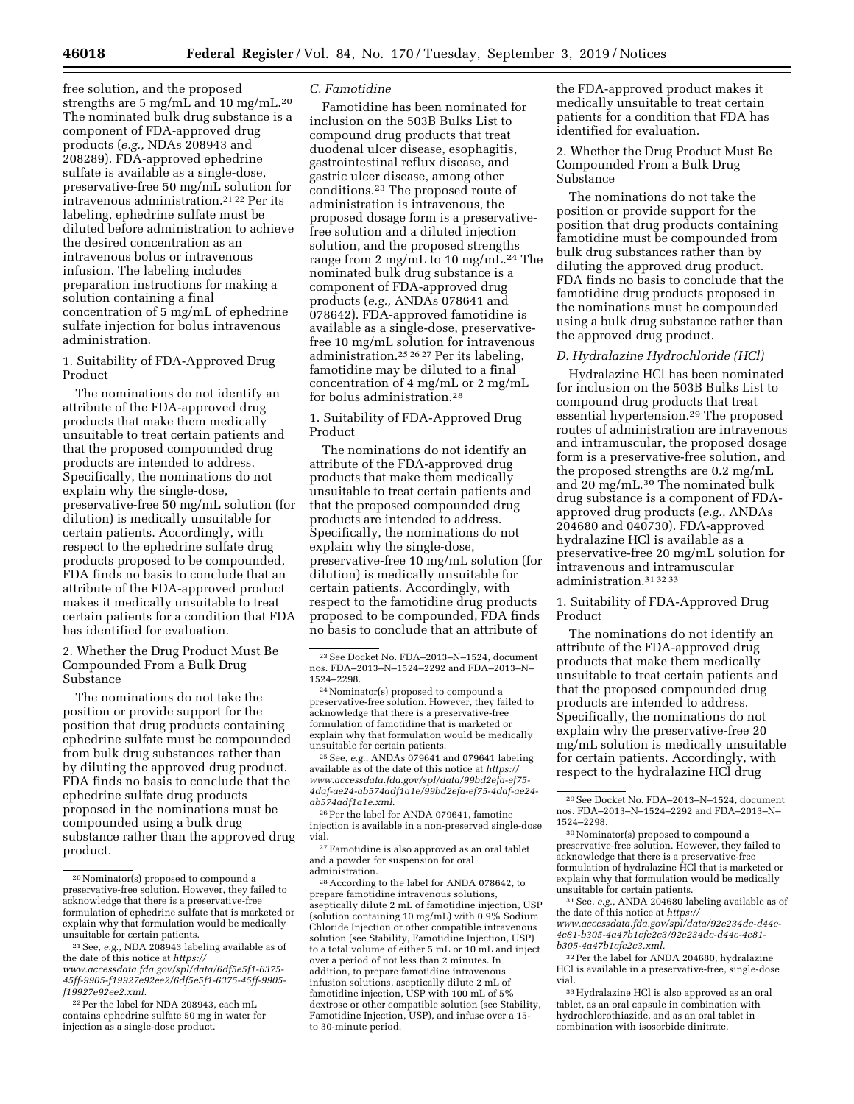free solution, and the proposed strengths are 5 mg/mL and 10 mg/mL.20 The nominated bulk drug substance is a component of FDA-approved drug products (*e.g.,* NDAs 208943 and 208289). FDA-approved ephedrine sulfate is available as a single-dose, preservative-free 50 mg/mL solution for intravenous administration.21 22 Per its labeling, ephedrine sulfate must be diluted before administration to achieve the desired concentration as an intravenous bolus or intravenous infusion. The labeling includes preparation instructions for making a solution containing a final concentration of 5 mg/mL of ephedrine sulfate injection for bolus intravenous administration.

1. Suitability of FDA-Approved Drug Product

The nominations do not identify an attribute of the FDA-approved drug products that make them medically unsuitable to treat certain patients and that the proposed compounded drug products are intended to address. Specifically, the nominations do not explain why the single-dose, preservative-free 50 mg/mL solution (for dilution) is medically unsuitable for certain patients. Accordingly, with respect to the ephedrine sulfate drug products proposed to be compounded, FDA finds no basis to conclude that an attribute of the FDA-approved product makes it medically unsuitable to treat certain patients for a condition that FDA has identified for evaluation.

2. Whether the Drug Product Must Be Compounded From a Bulk Drug Substance

The nominations do not take the position or provide support for the position that drug products containing ephedrine sulfate must be compounded from bulk drug substances rather than by diluting the approved drug product. FDA finds no basis to conclude that the ephedrine sulfate drug products proposed in the nominations must be compounded using a bulk drug substance rather than the approved drug product.

*[www.accessdata.fda.gov/spl/data/6df5e5f1-6375-](https://www.accessdata.fda.gov/spl/data/6df5e5f1-6375-45ff-9905-f19927e92ee2/6df5e5f1-6375-45ff-9905-f19927e92ee2.xml)  [45ff-9905-f19927e92ee2/6df5e5f1-6375-45ff-9905](https://www.accessdata.fda.gov/spl/data/6df5e5f1-6375-45ff-9905-f19927e92ee2/6df5e5f1-6375-45ff-9905-f19927e92ee2.xml) [f19927e92ee2.xml.](https://www.accessdata.fda.gov/spl/data/6df5e5f1-6375-45ff-9905-f19927e92ee2/6df5e5f1-6375-45ff-9905-f19927e92ee2.xml)* 

22Per the label for NDA 208943, each mL contains ephedrine sulfate 50 mg in water for injection as a single-dose product.

#### *C. Famotidine*

Famotidine has been nominated for inclusion on the 503B Bulks List to compound drug products that treat duodenal ulcer disease, esophagitis, gastrointestinal reflux disease, and gastric ulcer disease, among other conditions.23 The proposed route of administration is intravenous, the proposed dosage form is a preservativefree solution and a diluted injection solution, and the proposed strengths range from 2 mg/mL to 10 mg/mL.24 The nominated bulk drug substance is a component of FDA-approved drug products (*e.g.,* ANDAs 078641 and 078642). FDA-approved famotidine is available as a single-dose, preservativefree 10 mg/mL solution for intravenous administration.25 26 27 Per its labeling, famotidine may be diluted to a final concentration of 4 mg/mL or 2 mg/mL for bolus administration.28

1. Suitability of FDA-Approved Drug Product

The nominations do not identify an attribute of the FDA-approved drug products that make them medically unsuitable to treat certain patients and that the proposed compounded drug products are intended to address. Specifically, the nominations do not explain why the single-dose, preservative-free 10 mg/mL solution (for dilution) is medically unsuitable for certain patients. Accordingly, with respect to the famotidine drug products proposed to be compounded, FDA finds no basis to conclude that an attribute of

<sup>25</sup> See, *e.g., ANDAs* 079641 and 079641 labeling available as of the date of this notice at *[https://](https://www.accessdata.fda.gov/spl/data/99bd2efa-ef75-4daf-ae24-ab574adf1a1e/99bd2efa-ef75-4daf-ae24-ab574adf1a1e.xml) [www.accessdata.fda.gov/spl/data/99bd2efa-ef75-](https://www.accessdata.fda.gov/spl/data/99bd2efa-ef75-4daf-ae24-ab574adf1a1e/99bd2efa-ef75-4daf-ae24-ab574adf1a1e.xml) [4daf-ae24-ab574adf1a1e/99bd2efa-ef75-4daf-ae24](https://www.accessdata.fda.gov/spl/data/99bd2efa-ef75-4daf-ae24-ab574adf1a1e/99bd2efa-ef75-4daf-ae24-ab574adf1a1e.xml) [ab574adf1a1e.xml.](https://www.accessdata.fda.gov/spl/data/99bd2efa-ef75-4daf-ae24-ab574adf1a1e/99bd2efa-ef75-4daf-ae24-ab574adf1a1e.xml)* 

<sup>26</sup> Per the label for ANDA 079641, famotine injection is available in a non-preserved single-dose vial.

27Famotidine is also approved as an oral tablet and a powder for suspension for oral administration.

28According to the label for ANDA 078642, to prepare famotidine intravenous solutions, aseptically dilute 2 mL of famotidine injection, USP (solution containing 10 mg/mL) with 0.9% Sodium Chloride Injection or other compatible intravenous solution (see Stability, Famotidine Injection, USP) to a total volume of either 5 mL or 10 mL and inject over a period of not less than 2 minutes. In addition, to prepare famotidine intravenous infusion solutions, aseptically dilute 2 mL of famotidine injection, USP with 100 mL of 5% dextrose or other compatible solution (see Stability, Famotidine Injection, USP), and infuse over a 15 to 30-minute period.

the FDA-approved product makes it medically unsuitable to treat certain patients for a condition that FDA has identified for evaluation.

2. Whether the Drug Product Must Be Compounded From a Bulk Drug Substance

The nominations do not take the position or provide support for the position that drug products containing famotidine must be compounded from bulk drug substances rather than by diluting the approved drug product. FDA finds no basis to conclude that the famotidine drug products proposed in the nominations must be compounded using a bulk drug substance rather than the approved drug product.

## *D. Hydralazine Hydrochloride (HCl)*

Hydralazine HCl has been nominated for inclusion on the 503B Bulks List to compound drug products that treat essential hypertension.29 The proposed routes of administration are intravenous and intramuscular, the proposed dosage form is a preservative-free solution, and the proposed strengths are 0.2 mg/mL and 20 mg/mL.30 The nominated bulk drug substance is a component of FDAapproved drug products (*e.g.,* ANDAs 204680 and 040730). FDA-approved hydralazine HCl is available as a preservative-free 20 mg/mL solution for intravenous and intramuscular administration.31 32 33

1. Suitability of FDA-Approved Drug Product

The nominations do not identify an attribute of the FDA-approved drug products that make them medically unsuitable to treat certain patients and that the proposed compounded drug products are intended to address. Specifically, the nominations do not explain why the preservative-free 20 mg/mL solution is medically unsuitable for certain patients. Accordingly, with respect to the hydralazine HCl drug

31See, *e.g.,* ANDA 204680 labeling available as of the date of this notice at *[https://](https://www.accessdata.fda.gov/spl/data/92e234dc-d44e-4e81-b305-4a47b1cfe2c3/92e234dc-d44e-4e81-b305-4a47b1cfe2c3.xml) [www.accessdata.fda.gov/spl/data/92e234dc-d44e-](https://www.accessdata.fda.gov/spl/data/92e234dc-d44e-4e81-b305-4a47b1cfe2c3/92e234dc-d44e-4e81-b305-4a47b1cfe2c3.xml)[4e81-b305-4a47b1cfe2c3/92e234dc-d44e-4e81](https://www.accessdata.fda.gov/spl/data/92e234dc-d44e-4e81-b305-4a47b1cfe2c3/92e234dc-d44e-4e81-b305-4a47b1cfe2c3.xml)  [b305-4a47b1cfe2c3.xml.](https://www.accessdata.fda.gov/spl/data/92e234dc-d44e-4e81-b305-4a47b1cfe2c3/92e234dc-d44e-4e81-b305-4a47b1cfe2c3.xml)* 

32Per the label for ANDA 204680, hydralazine HCl is available in a preservative-free, single-dose vial.

33Hydralazine HCl is also approved as an oral tablet, as an oral capsule in combination with hydrochlorothiazide, and as an oral tablet in combination with isosorbide dinitrate.

<sup>20</sup>Nominator(s) proposed to compound a preservative-free solution. However, they failed to acknowledge that there is a preservative-free formulation of ephedrine sulfate that is marketed or explain why that formulation would be medically unsuitable for certain patients.

<sup>21</sup>See, *e.g.,* NDA 208943 labeling available as of the date of this notice at *[https://](https://www.accessdata.fda.gov/spl/data/6df5e5f1-6375-45ff-9905-f19927e92ee2/6df5e5f1-6375-45ff-9905-f19927e92ee2.xml)*

<sup>23</sup>See Docket No. FDA–2013–N–1524, document nos. FDA–2013–N–1524–2292 and FDA–2013–N–

<sup>&</sup>lt;sup>24</sup> Nominator(s) proposed to compound a preservative-free solution. However, they failed to acknowledge that there is a preservative-free formulation of famotidine that is marketed or explain why that formulation would be medically unsuitable for certain patients.

<sup>29</sup>See Docket No. FDA–2013–N–1524, document nos. FDA–2013–N–1524–2292 and FDA–2013–N– 1524–2298.

<sup>30</sup>Nominator(s) proposed to compound a preservative-free solution. However, they failed to acknowledge that there is a preservative-free formulation of hydralazine HCl that is marketed or explain why that formulation would be medically unsuitable for certain patients.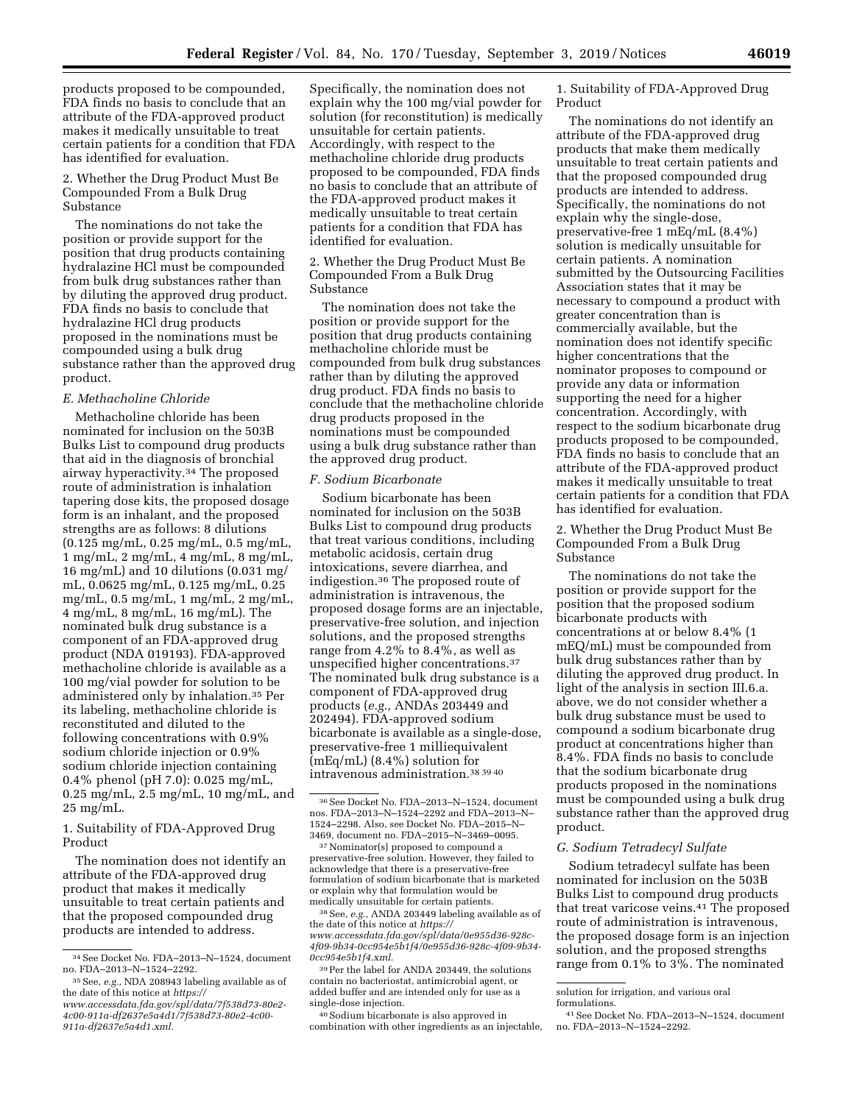products proposed to be compounded, FDA finds no basis to conclude that an attribute of the FDA-approved product makes it medically unsuitable to treat certain patients for a condition that FDA has identified for evaluation.

2. Whether the Drug Product Must Be Compounded From a Bulk Drug Substance

The nominations do not take the position or provide support for the position that drug products containing hydralazine HCl must be compounded from bulk drug substances rather than by diluting the approved drug product. FDA finds no basis to conclude that hydralazine HCl drug products proposed in the nominations must be compounded using a bulk drug substance rather than the approved drug product.

## *E. Methacholine Chloride*

Methacholine chloride has been nominated for inclusion on the 503B Bulks List to compound drug products that aid in the diagnosis of bronchial airway hyperactivity.34 The proposed route of administration is inhalation tapering dose kits, the proposed dosage form is an inhalant, and the proposed strengths are as follows: 8 dilutions (0.125 mg/mL, 0.25 mg/mL, 0.5 mg/mL, 1 mg/mL, 2 mg/mL, 4 mg/mL, 8 mg/mL, 16 mg/mL) and 10 dilutions (0.031 mg/ mL, 0.0625 mg/mL, 0.125 mg/mL, 0.25 mg/mL, 0.5 mg/mL, 1 mg/mL, 2 mg/mL, 4 mg/mL, 8 mg/mL, 16 mg/mL). The nominated bulk drug substance is a component of an FDA-approved drug product (NDA 019193). FDA-approved methacholine chloride is available as a 100 mg/vial powder for solution to be administered only by inhalation.35 Per its labeling, methacholine chloride is reconstituted and diluted to the following concentrations with 0.9% sodium chloride injection or 0.9% sodium chloride injection containing 0.4% phenol (pH 7.0): 0.025 mg/mL, 0.25 mg/mL, 2.5 mg/mL, 10 mg/mL, and 25 mg/mL.

1. Suitability of FDA-Approved Drug Product

The nomination does not identify an attribute of the FDA-approved drug product that makes it medically unsuitable to treat certain patients and that the proposed compounded drug products are intended to address.

Specifically, the nomination does not explain why the 100 mg/vial powder for solution (for reconstitution) is medically unsuitable for certain patients. Accordingly, with respect to the methacholine chloride drug products proposed to be compounded, FDA finds no basis to conclude that an attribute of the FDA-approved product makes it medically unsuitable to treat certain patients for a condition that FDA has identified for evaluation.

#### 2. Whether the Drug Product Must Be Compounded From a Bulk Drug Substance

The nomination does not take the position or provide support for the position that drug products containing methacholine chloride must be compounded from bulk drug substances rather than by diluting the approved drug product. FDA finds no basis to conclude that the methacholine chloride drug products proposed in the nominations must be compounded using a bulk drug substance rather than the approved drug product.

#### *F. Sodium Bicarbonate*

Sodium bicarbonate has been nominated for inclusion on the 503B Bulks List to compound drug products that treat various conditions, including metabolic acidosis, certain drug intoxications, severe diarrhea, and indigestion.36 The proposed route of administration is intravenous, the proposed dosage forms are an injectable, preservative-free solution, and injection solutions, and the proposed strengths range from 4.2% to 8.4%, as well as unspecified higher concentrations.37 The nominated bulk drug substance is a component of FDA-approved drug products (*e.g.,* ANDAs 203449 and 202494). FDA-approved sodium bicarbonate is available as a single-dose, preservative-free 1 milliequivalent (mEq/mL) (8.4%) solution for intravenous administration.38 39 40

 $37$  Nominator(s) proposed to compound a preservative-free solution. However, they failed to acknowledge that there is a preservative-free formulation of sodium bicarbonate that is marketed or explain why that formulation would be

<sup>38</sup> See, *e.g.,* ANDA 203449 labeling available as of the date of this notice at *[https://](https://www.accessdata.fda.gov/spl/data/0e955d36-928c-4f09-9b34-0cc954e5b1f4/0e955d36-928c-4f09-9b34-0cc954e5b1f4.xml) [www.accessdata.fda.gov/spl/data/0e955d36-928c-](https://www.accessdata.fda.gov/spl/data/0e955d36-928c-4f09-9b34-0cc954e5b1f4/0e955d36-928c-4f09-9b34-0cc954e5b1f4.xml)[4f09-9b34-0cc954e5b1f4/0e955d36-928c-4f09-9b34-](https://www.accessdata.fda.gov/spl/data/0e955d36-928c-4f09-9b34-0cc954e5b1f4/0e955d36-928c-4f09-9b34-0cc954e5b1f4.xml) [0cc954e5b1f4.xml.](https://www.accessdata.fda.gov/spl/data/0e955d36-928c-4f09-9b34-0cc954e5b1f4/0e955d36-928c-4f09-9b34-0cc954e5b1f4.xml)* 

39Per the label for ANDA 203449, the solutions contain no bacteriostat, antimicrobial agent, or added buffer and are intended only for use as a single-dose injection.

40Sodium bicarbonate is also approved in combination with other ingredients as an injectable,

1. Suitability of FDA-Approved Drug Product

The nominations do not identify an attribute of the FDA-approved drug products that make them medically unsuitable to treat certain patients and that the proposed compounded drug products are intended to address. Specifically, the nominations do not explain why the single-dose, preservative-free 1 mEq/mL (8.4%) solution is medically unsuitable for certain patients. A nomination submitted by the Outsourcing Facilities Association states that it may be necessary to compound a product with greater concentration than is commercially available, but the nomination does not identify specific higher concentrations that the nominator proposes to compound or provide any data or information supporting the need for a higher concentration. Accordingly, with respect to the sodium bicarbonate drug products proposed to be compounded, FDA finds no basis to conclude that an attribute of the FDA-approved product makes it medically unsuitable to treat certain patients for a condition that FDA has identified for evaluation.

2. Whether the Drug Product Must Be Compounded From a Bulk Drug Substance

The nominations do not take the position or provide support for the position that the proposed sodium bicarbonate products with concentrations at or below 8.4% (1 mEQ/mL) must be compounded from bulk drug substances rather than by diluting the approved drug product. In light of the analysis in section III.6.a. above, we do not consider whether a bulk drug substance must be used to compound a sodium bicarbonate drug product at concentrations higher than 8.4%. FDA finds no basis to conclude that the sodium bicarbonate drug products proposed in the nominations must be compounded using a bulk drug substance rather than the approved drug product.

## *G. Sodium Tetradecyl Sulfate*

Sodium tetradecyl sulfate has been nominated for inclusion on the 503B Bulks List to compound drug products that treat varicose veins.41 The proposed route of administration is intravenous, the proposed dosage form is an injection solution, and the proposed strengths range from 0.1% to 3%. The nominated

<sup>34</sup>See Docket No. FDA–2013–N–1524, document no. FDA–2013–N–1524–2292.

<sup>35</sup>See, *e.g.,* NDA 208943 labeling available as of the date of this notice at *[https://](https://www.accessdata.fda.gov/spl/data/7f538d73-80e2-4c00-911a-df2637e5a4d1/7f538d73-80e2-4c00-911a-df2637e5a4d1.xml) [www.accessdata.fda.gov/spl/data/7f538d73-80e2-](https://www.accessdata.fda.gov/spl/data/7f538d73-80e2-4c00-911a-df2637e5a4d1/7f538d73-80e2-4c00-911a-df2637e5a4d1.xml) [4c00-911a-df2637e5a4d1/7f538d73-80e2-4c00-](https://www.accessdata.fda.gov/spl/data/7f538d73-80e2-4c00-911a-df2637e5a4d1/7f538d73-80e2-4c00-911a-df2637e5a4d1.xml)* 

*[<sup>911</sup>a-df2637e5a4d1.xml.](https://www.accessdata.fda.gov/spl/data/7f538d73-80e2-4c00-911a-df2637e5a4d1/7f538d73-80e2-4c00-911a-df2637e5a4d1.xml)* 

<sup>36</sup>See Docket No. FDA–2013–N–1524, document nos. FDA–2013–N–1524–2292 and FDA–2013–N– 1524–2298. Also, see Docket No. FDA–2015–N–

solution for irrigation, and various oral

formulations.

<sup>41</sup>See Docket No. FDA–2013–N–1524, document no. FDA–2013–N–1524–2292.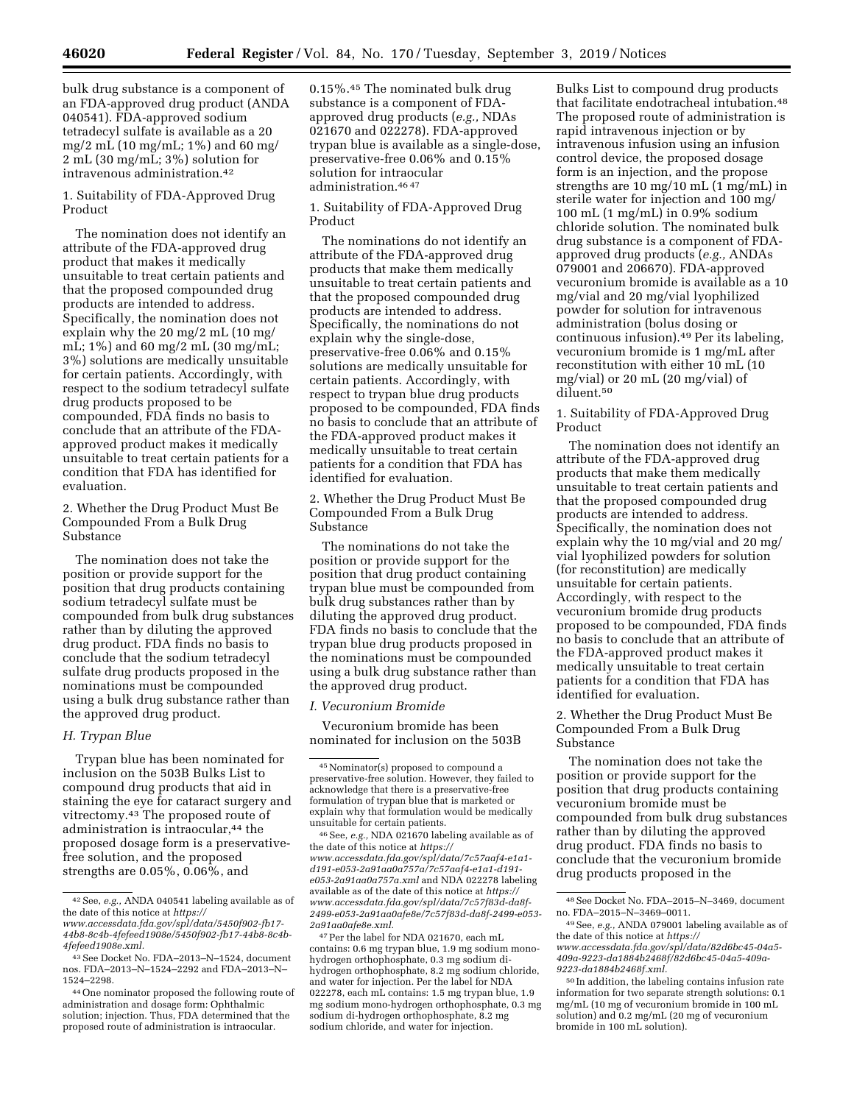1. Suitability of FDA-Approved Drug Product

intravenous administration.42

The nomination does not identify an attribute of the FDA-approved drug product that makes it medically unsuitable to treat certain patients and that the proposed compounded drug products are intended to address. Specifically, the nomination does not explain why the 20 mg/2 mL (10 mg/ mL; 1%) and 60 mg/2 mL (30 mg/mL; 3%) solutions are medically unsuitable for certain patients. Accordingly, with respect to the sodium tetradecyl sulfate drug products proposed to be compounded, FDA finds no basis to conclude that an attribute of the FDAapproved product makes it medically unsuitable to treat certain patients for a condition that FDA has identified for evaluation.

2. Whether the Drug Product Must Be Compounded From a Bulk Drug Substance

The nomination does not take the position or provide support for the position that drug products containing sodium tetradecyl sulfate must be compounded from bulk drug substances rather than by diluting the approved drug product. FDA finds no basis to conclude that the sodium tetradecyl sulfate drug products proposed in the nominations must be compounded using a bulk drug substance rather than the approved drug product.

## *H. Trypan Blue*

Trypan blue has been nominated for inclusion on the 503B Bulks List to compound drug products that aid in staining the eye for cataract surgery and vitrectomy.43 The proposed route of administration is intraocular,<sup>44</sup> the proposed dosage form is a preservativefree solution, and the proposed strengths are 0.05%, 0.06%, and

0.15%.45 The nominated bulk drug substance is a component of FDAapproved drug products (*e.g.,* NDAs 021670 and 022278). FDA-approved trypan blue is available as a single-dose, preservative-free 0.06% and 0.15% solution for intraocular administration.46 47

1. Suitability of FDA-Approved Drug Product

The nominations do not identify an attribute of the FDA-approved drug products that make them medically unsuitable to treat certain patients and that the proposed compounded drug products are intended to address. Specifically, the nominations do not explain why the single-dose, preservative-free 0.06% and 0.15% solutions are medically unsuitable for certain patients. Accordingly, with respect to trypan blue drug products proposed to be compounded, FDA finds no basis to conclude that an attribute of the FDA-approved product makes it medically unsuitable to treat certain patients for a condition that FDA has identified for evaluation.

2. Whether the Drug Product Must Be Compounded From a Bulk Drug Substance

The nominations do not take the position or provide support for the position that drug product containing trypan blue must be compounded from bulk drug substances rather than by diluting the approved drug product. FDA finds no basis to conclude that the trypan blue drug products proposed in the nominations must be compounded using a bulk drug substance rather than the approved drug product.

#### *I. Vecuronium Bromide*

Vecuronium bromide has been nominated for inclusion on the 503B

46See, *e.g.,* NDA 021670 labeling available as of the date of this notice at *[https://](https://www.accessdata.fda.gov/spl/data/7c57aaf4-e1a1-d191-e053-2a91aa0a757a/7c57aaf4-e1a1-d191-e053-2a91aa0a757a.xml) [www.accessdata.fda.gov/spl/data/7c57aaf4-e1a1](https://www.accessdata.fda.gov/spl/data/7c57aaf4-e1a1-d191-e053-2a91aa0a757a/7c57aaf4-e1a1-d191-e053-2a91aa0a757a.xml) [d191-e053-2a91aa0a757a/7c57aaf4-e1a1-d191](https://www.accessdata.fda.gov/spl/data/7c57aaf4-e1a1-d191-e053-2a91aa0a757a/7c57aaf4-e1a1-d191-e053-2a91aa0a757a.xml)  [e053-2a91aa0a757a.xml](https://www.accessdata.fda.gov/spl/data/7c57aaf4-e1a1-d191-e053-2a91aa0a757a/7c57aaf4-e1a1-d191-e053-2a91aa0a757a.xml)* and NDA 022278 labeling available as of the date of this notice at *[https://](https://www.accessdata.fda.gov/spl/data/7c57f83d-da8f-2499-e053-2a91aa0afe8e/7c57f83d-da8f-2499-e053-2a91aa0afe8e.xml) [www.accessdata.fda.gov/spl/data/7c57f83d-da8f-](https://www.accessdata.fda.gov/spl/data/7c57f83d-da8f-2499-e053-2a91aa0afe8e/7c57f83d-da8f-2499-e053-2a91aa0afe8e.xml)[2499-e053-2a91aa0afe8e/7c57f83d-da8f-2499-e053-](https://www.accessdata.fda.gov/spl/data/7c57f83d-da8f-2499-e053-2a91aa0afe8e/7c57f83d-da8f-2499-e053-2a91aa0afe8e.xml)  [2a91aa0afe8e.xml.](https://www.accessdata.fda.gov/spl/data/7c57f83d-da8f-2499-e053-2a91aa0afe8e/7c57f83d-da8f-2499-e053-2a91aa0afe8e.xml)* 

47Per the label for NDA 021670, each mL contains: 0.6 mg trypan blue, 1.9 mg sodium monohydrogen orthophosphate, 0.3 mg sodium dihydrogen orthophosphate, 8.2 mg sodium chloride, and water for injection. Per the label for NDA 022278, each mL contains: 1.5 mg trypan blue, 1.9 mg sodium mono-hydrogen orthophosphate, 0.3 mg sodium di-hydrogen orthophosphate, 8.2 mg sodium chloride, and water for injection.

Bulks List to compound drug products that facilitate endotracheal intubation.48 The proposed route of administration is rapid intravenous injection or by intravenous infusion using an infusion control device, the proposed dosage form is an injection, and the propose strengths are 10 mg/10 mL (1 mg/mL) in sterile water for injection and 100 mg/ 100 mL (1 mg/mL) in 0.9% sodium chloride solution. The nominated bulk drug substance is a component of FDAapproved drug products (*e.g.,* ANDAs 079001 and 206670). FDA-approved vecuronium bromide is available as a 10 mg/vial and 20 mg/vial lyophilized powder for solution for intravenous administration (bolus dosing or continuous infusion).49 Per its labeling, vecuronium bromide is 1 mg/mL after reconstitution with either 10 mL (10 mg/vial) or 20 mL (20 mg/vial) of diluent.50

1. Suitability of FDA-Approved Drug Product

The nomination does not identify an attribute of the FDA-approved drug products that make them medically unsuitable to treat certain patients and that the proposed compounded drug products are intended to address. Specifically, the nomination does not explain why the 10 mg/vial and 20 mg/ vial lyophilized powders for solution (for reconstitution) are medically unsuitable for certain patients. Accordingly, with respect to the vecuronium bromide drug products proposed to be compounded, FDA finds no basis to conclude that an attribute of the FDA-approved product makes it medically unsuitable to treat certain patients for a condition that FDA has identified for evaluation.

2. Whether the Drug Product Must Be Compounded From a Bulk Drug Substance

The nomination does not take the position or provide support for the position that drug products containing vecuronium bromide must be compounded from bulk drug substances rather than by diluting the approved drug product. FDA finds no basis to conclude that the vecuronium bromide drug products proposed in the

<sup>42</sup>See, *e.g.,* ANDA 040541 labeling available as of the date of this notice at *[https://](https://www.accessdata.fda.gov/spl/data/5450f902-fb17-44b8-8c4b-4fefeed1908e/5450f902-fb17-44b8-8c4b-4fefeed1908e.xml)*

*[www.accessdata.fda.gov/spl/data/5450f902-fb17-](https://www.accessdata.fda.gov/spl/data/5450f902-fb17-44b8-8c4b-4fefeed1908e/5450f902-fb17-44b8-8c4b-4fefeed1908e.xml)  [44b8-8c4b-4fefeed1908e/5450f902-fb17-44b8-8c4b-](https://www.accessdata.fda.gov/spl/data/5450f902-fb17-44b8-8c4b-4fefeed1908e/5450f902-fb17-44b8-8c4b-4fefeed1908e.xml)[4fefeed1908e.xml.](https://www.accessdata.fda.gov/spl/data/5450f902-fb17-44b8-8c4b-4fefeed1908e/5450f902-fb17-44b8-8c4b-4fefeed1908e.xml)* 

<sup>43</sup>See Docket No. FDA–2013–N–1524, document nos. FDA–2013–N–1524–2292 and FDA–2013–N– 1524–2298.

<sup>44</sup>One nominator proposed the following route of administration and dosage form: Ophthalmic solution; injection. Thus, FDA determined that the proposed route of administration is intraocular.

<sup>45</sup>Nominator(s) proposed to compound a preservative-free solution. However, they failed to acknowledge that there is a preservative-free formulation of trypan blue that is marketed or explain why that formulation would be medically unsuitable for certain patients.

<sup>48</sup>See Docket No. FDA–2015–N–3469, document no. FDA–2015–N–3469–0011.

<sup>49</sup>See, *e.g.,* ANDA 079001 labeling available as of the date of this notice at *[https://](https://www.accessdata.fda.gov/spl/data/82d6bc45-04a5-409a-9223-da1884b2468f/82d6bc45-04a5-409a-9223-da1884b2468f.xml) [www.accessdata.fda.gov/spl/data/82d6bc45-04a5-](https://www.accessdata.fda.gov/spl/data/82d6bc45-04a5-409a-9223-da1884b2468f/82d6bc45-04a5-409a-9223-da1884b2468f.xml)  [409a-9223-da1884b2468f/82d6bc45-04a5-409a-](https://www.accessdata.fda.gov/spl/data/82d6bc45-04a5-409a-9223-da1884b2468f/82d6bc45-04a5-409a-9223-da1884b2468f.xml)[9223-da1884b2468f.xml.](https://www.accessdata.fda.gov/spl/data/82d6bc45-04a5-409a-9223-da1884b2468f/82d6bc45-04a5-409a-9223-da1884b2468f.xml)* 

<sup>50</sup> In addition, the labeling contains infusion rate information for two separate strength solutions: 0.1 mg/mL (10 mg of vecuronium bromide in 100 mL solution) and 0.2 mg/mL (20 mg of vecuronium bromide in 100 mL solution).